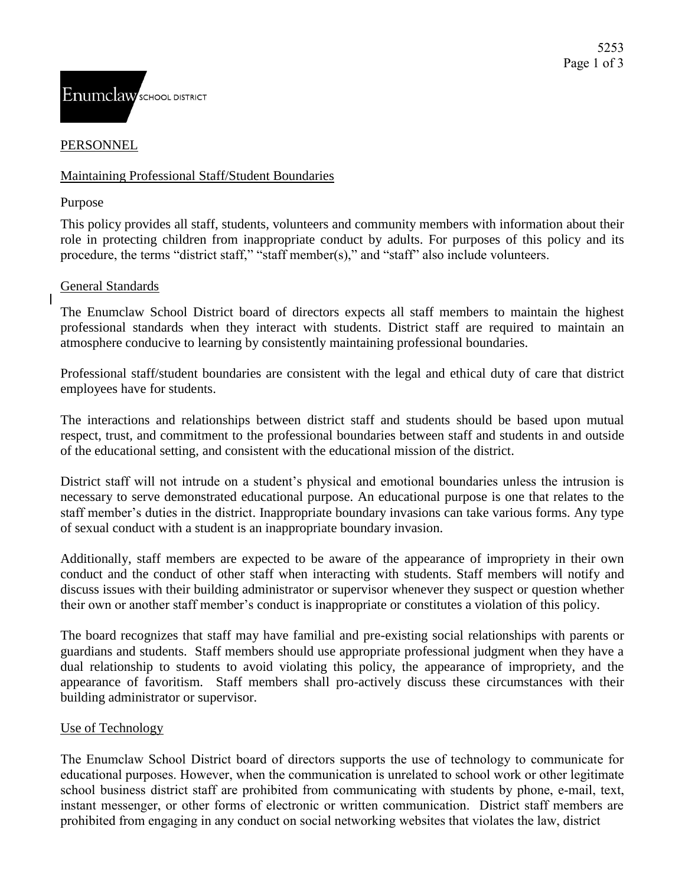

# PERSONNEL

# Maintaining Professional Staff/Student Boundaries

Purpose

This policy provides all staff, students, volunteers and community members with information about their role in protecting children from inappropriate conduct by adults. For purposes of this policy and its procedure, the terms "district staff," "staff member(s)," and "staff" also include volunteers.

### General Standards

The Enumclaw School District board of directors expects all staff members to maintain the highest professional standards when they interact with students. District staff are required to maintain an atmosphere conducive to learning by consistently maintaining professional boundaries.

Professional staff/student boundaries are consistent with the legal and ethical duty of care that district employees have for students.

The interactions and relationships between district staff and students should be based upon mutual respect, trust, and commitment to the professional boundaries between staff and students in and outside of the educational setting, and consistent with the educational mission of the district.

District staff will not intrude on a student's physical and emotional boundaries unless the intrusion is necessary to serve demonstrated educational purpose. An educational purpose is one that relates to the staff member's duties in the district. Inappropriate boundary invasions can take various forms. Any type of sexual conduct with a student is an inappropriate boundary invasion.

Additionally, staff members are expected to be aware of the appearance of impropriety in their own conduct and the conduct of other staff when interacting with students. Staff members will notify and discuss issues with their building administrator or supervisor whenever they suspect or question whether their own or another staff member's conduct is inappropriate or constitutes a violation of this policy.

The board recognizes that staff may have familial and pre-existing social relationships with parents or guardians and students. Staff members should use appropriate professional judgment when they have a dual relationship to students to avoid violating this policy, the appearance of impropriety, and the appearance of favoritism. Staff members shall pro-actively discuss these circumstances with their building administrator or supervisor.

# Use of Technology

The Enumclaw School District board of directors supports the use of technology to communicate for educational purposes. However, when the communication is unrelated to school work or other legitimate school business district staff are prohibited from communicating with students by phone, e-mail, text, instant messenger, or other forms of electronic or written communication. District staff members are prohibited from engaging in any conduct on social networking websites that violates the law, district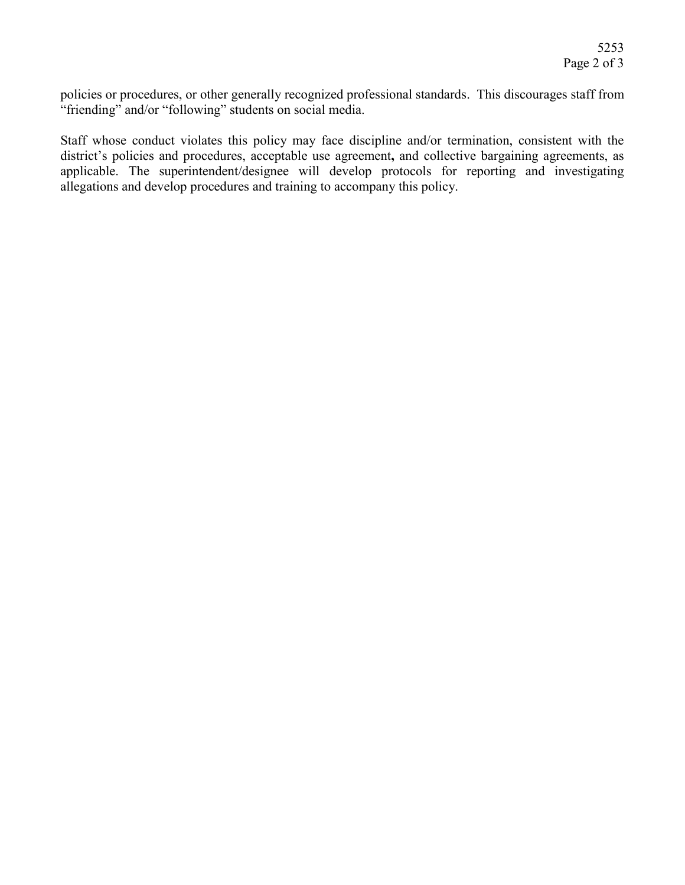policies or procedures, or other generally recognized professional standards. This discourages staff from "friending" and/or "following" students on social media.

Staff whose conduct violates this policy may face discipline and/or termination, consistent with the district's policies and procedures, acceptable use agreement**,** and collective bargaining agreements, as applicable. The superintendent/designee will develop protocols for reporting and investigating allegations and develop procedures and training to accompany this policy.